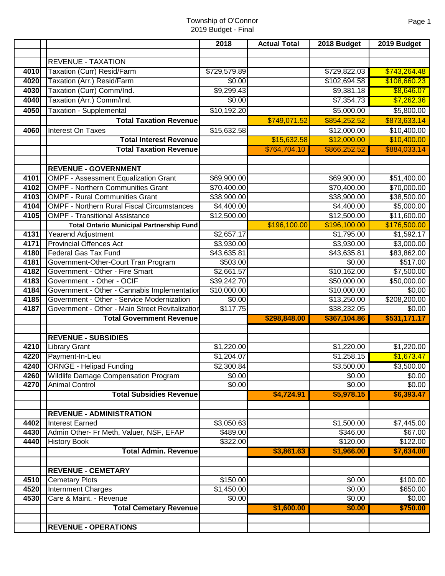|              |                                                               | 2018             | <b>Actual Total</b> | 2018 Budget              | 2019 Budget                  |
|--------------|---------------------------------------------------------------|------------------|---------------------|--------------------------|------------------------------|
|              |                                                               |                  |                     |                          |                              |
|              | <b>REVENUE - TAXATION</b>                                     |                  |                     |                          |                              |
| 4010         | Taxation (Curr) Resid/Farm                                    | \$729,579.89     |                     | \$729,822.03             | \$743,264.48                 |
| 4020         | Taxation (Arr.) Resid/Farm                                    | \$0.00           |                     | \$102,694.58             | \$108,660.23                 |
| 4030         | Taxation (Curr) Comm/Ind.                                     | \$9,299.43       |                     | \$9,381.18               | \$8,646.07                   |
| 4040         | Taxation (Arr.) Comm/Ind.                                     | \$0.00           |                     | \$7,354.73               | \$7,262.36                   |
| 4050         | <b>Taxation - Supplemental</b>                                | \$10,192.20      |                     | \$5,000.00               | \$5,800.00                   |
|              | <b>Total Taxation Revenue</b>                                 |                  | \$749,071.52        | \$854,252.52             | \$873,633.14                 |
| 4060         | Interest On Taxes                                             | \$15,632.58      |                     | \$12,000.00              | \$10,400.00                  |
|              | <b>Total Interest Revenue</b>                                 |                  | \$15,632.58         | \$12,000.00              | \$10,400.00                  |
|              | <b>Total Taxation Revenue</b>                                 |                  | \$764,704.10        | \$866,252.52             | \$884,033.14                 |
|              |                                                               |                  |                     |                          |                              |
|              | <b>REVENUE - GOVERNMENT</b>                                   |                  |                     |                          |                              |
| 4101         | <b>OMPF - Assessment Equalization Grant</b>                   | \$69,900.00      |                     | \$69,900.00              | \$51,400.00                  |
| 4102         | <b>OMPF - Northern Communities Grant</b>                      | \$70,400.00      |                     | \$70,400.00              | \$70,000.00                  |
| 4103         | <b>OMPF - Rural Communities Grant</b>                         | \$38,900.00      |                     | \$38,900.00              | \$38,500.00                  |
| 4104         | <b>OMPF - Northern Rural Fiscal Circumstances</b>             | \$4,400.00       |                     | \$4,400.00               | \$5,000.00                   |
| 4105         | <b>OMPF - Transitional Assistance</b>                         | \$12,500.00      |                     | \$12,500.00              | \$11,600.00                  |
|              | <b>Total Ontario Municipal Partnership Fund</b>               |                  | \$196,100.00        | \$196,100.00             | \$176,500.00                 |
| 4131         | Yearend Adjustment                                            | \$2,657.17       |                     | \$1,795.00               | \$1,592.17                   |
| 4171         | <b>Provincial Offences Act</b>                                | \$3,930.00       |                     | \$3,930.00               | \$3,000.00                   |
| 4180         | <b>Federal Gas Tax Fund</b>                                   | \$43,635.81      |                     | \$43,635.81              | \$83,862.00                  |
| 4181         | Government-Other-Court Tran Program                           | \$503.00         |                     | \$0.00                   | \$517.00                     |
| 4182         | Government - Other - Fire Smart                               | \$2,661.57       |                     | \$10,162.00              | \$7,500.00                   |
| 4183         | Government - Other - OCIF                                     | \$39,242.70      |                     | \$50,000.00              | \$50,000.00                  |
| 4184         | Government - Other - Cannabis Implementation                  | \$10,000.00      |                     | \$10,000.00              | \$0.00                       |
| 4185         | Government - Other - Service Modernization                    | \$0.00           |                     | \$13,250.00              | \$208,200.00                 |
| 4187         | Government - Other - Main Street Revitalization               | \$117.75         |                     | \$38,232.05              | \$0.00                       |
|              | <b>Total Government Revenue</b>                               |                  | \$298,848.00        | \$367,104.86             | \$531,171.17                 |
|              |                                                               |                  |                     |                          |                              |
|              | <b>REVENUE - SUBSIDIES</b>                                    |                  |                     |                          |                              |
| 4210         | <b>Library Grant</b>                                          | \$1,220.00       |                     | \$1,220.00<br>\$1,258.15 | \$1,220.00                   |
| 4220         | Payment-In-Lieu                                               | \$1,204.07       |                     |                          | \$1,673.47                   |
|              | 4240 ORNGE - Helipad Funding                                  | \$2,300.84       |                     | \$3,500.00               | \$3,500.00                   |
| 4260<br>4270 | Wildlife Damage Compensation Program<br><b>Animal Control</b> | \$0.00<br>\$0.00 |                     | \$0.00<br>\$0.00         | $\overline{60.00}$<br>\$0.00 |
|              | <b>Total Subsidies Revenue</b>                                |                  | \$4,724.91          | \$5,978.15               | \$6,393.47                   |
|              |                                                               |                  |                     |                          |                              |
|              | <b>REVENUE - ADMINISTRATION</b>                               |                  |                     |                          |                              |
| 4402         | <b>Interest Earned</b>                                        | \$3,050.63       |                     | \$1,500.00               | \$7,445.00                   |
| 4430         | Admin Other- Fr Meth, Valuer, NSF, EFAP                       | \$489.00         |                     | \$346.00                 | \$67.00                      |
| 4440         | <b>History Book</b>                                           | \$322.00         |                     | \$120.00                 | \$122.00                     |
|              | <b>Total Admin. Revenue</b>                                   |                  | \$3,861.63          | \$1,966.00               | \$7,634.00                   |
|              |                                                               |                  |                     |                          |                              |
|              | <b>REVENUE - CEMETARY</b>                                     |                  |                     |                          |                              |
| 4510         | <b>Cemetary Plots</b>                                         | \$150.00         |                     | \$0.00                   | \$100.00                     |
| 4520         | <b>Internment Charges</b>                                     | \$1,450.00       |                     | \$0.00                   | \$650.00                     |
| 4530         | Care & Maint. - Revenue                                       | \$0.00           |                     | \$0.00                   | \$0.00                       |
|              | <b>Total Cemetary Revenue</b>                                 |                  | \$1,600.00          | \$0.00                   | \$750.00                     |
|              |                                                               |                  |                     |                          |                              |
|              | <b>REVENUE - OPERATIONS</b>                                   |                  |                     |                          |                              |
|              |                                                               |                  |                     |                          |                              |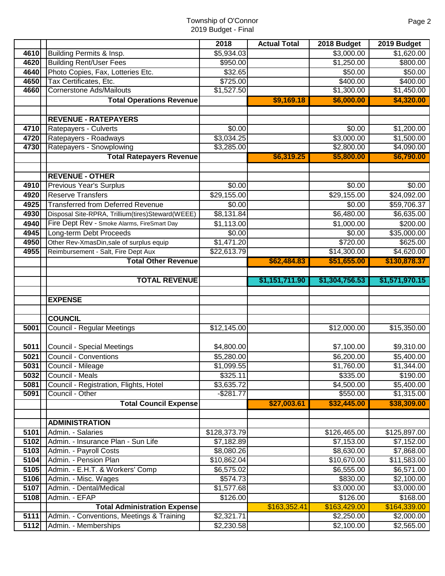|      |                                                  | 2018                | <b>Actual Total</b> | 2018 Budget        | 2019 Budget    |
|------|--------------------------------------------------|---------------------|---------------------|--------------------|----------------|
| 4610 | Building Permits & Insp.                         | \$5,934.03          |                     | \$3,000.00         | \$1,620.00     |
| 4620 | <b>Building Rent/User Fees</b>                   | \$950.00            |                     | \$1,250.00         | \$800.00       |
| 4640 | Photo Copies, Fax, Lotteries Etc.                | \$32.65             |                     | \$50.00            | \$50.00        |
| 4650 | Tax Certificates, Etc.                           | \$725.00            |                     | \$400.00           | \$400.00       |
| 4660 | <b>Cornerstone Ads/Mailouts</b>                  | \$1,527.50          |                     | \$1,300.00         | \$1,450.00     |
|      | <b>Total Operations Revenue</b>                  |                     | \$9,169.18          | \$6,000.00         | \$4,320.00     |
|      |                                                  |                     |                     |                    |                |
|      | <b>REVENUE - RATEPAYERS</b>                      |                     |                     |                    |                |
| 4710 | Ratepayers - Culverts                            | \$0.00              |                     | \$0.00             | \$1,200.00     |
| 4720 | Ratepayers - Roadways                            | \$3,034.25          |                     | \$3,000.00         | \$1,500.00     |
| 4730 | Ratepayers - Snowplowing                         | \$3,285.00          |                     | \$2,800.00         | \$4,090.00     |
|      | <b>Total Ratepayers Revenue</b>                  |                     | \$6,319.25          | \$5,800.00         | \$6,790.00     |
|      |                                                  |                     |                     |                    |                |
|      | <b>REVENUE - OTHER</b>                           |                     |                     |                    |                |
| 4910 | <b>Previous Year's Surplus</b>                   | \$0.00              |                     | \$0.00             | \$0.00         |
| 4920 | <b>Reserve Transfers</b>                         | \$29,155.00         |                     | \$29,155.00        | \$24,092.00    |
| 4925 | <b>Transferred from Deferred Revenue</b>         | \$0.00              |                     | \$0.00             | \$59,706.37    |
| 4930 | Disposal Site-RPRA, Trillium(tires)Steward(WEEE) | \$8,131.84          |                     | \$6,480.00         | \$6,635.00     |
| 4940 | Fire Dept Rev - Smoke Alarms, FireSmart Day      | \$1,113.00          |                     | \$1,000.00         | \$200.00       |
| 4945 | Long-term Debt Proceeds                          | \$0.00              |                     | \$0.00             | \$35,000.00    |
| 4950 | Other Rev-XmasDin, sale of surplus equip         | \$1,471.20          |                     | \$720.00           | \$625.00       |
| 4955 | Reimbursement - Salt, Fire Dept Aux              | \$22,613.79         |                     | \$14,300.00        | \$4,620.00     |
|      | <b>Total Other Revenue</b>                       |                     | \$62,484.83         | \$51,655.00        | \$130,878.37   |
|      |                                                  |                     |                     |                    |                |
|      | <b>TOTAL REVENUE</b>                             |                     | \$1,151,711.90      | \$1,304,756.53     | \$1,571,970.15 |
|      |                                                  |                     |                     |                    |                |
|      | <b>EXPENSE</b>                                   |                     |                     |                    |                |
|      | <b>COUNCIL</b>                                   |                     |                     |                    |                |
| 5001 | <b>Council - Regular Meetings</b>                | \$12,145.00         |                     | \$12,000.00        | \$15,350.00    |
|      |                                                  |                     |                     |                    |                |
| 5011 | <b>Council - Special Meetings</b>                | \$4,800.00          |                     | \$7,100.00         | \$9,310.00     |
| 5021 | <b>Council - Conventions</b>                     | \$5,280.00          |                     | \$6,200.00         | \$5,400.00     |
| 5031 | Council - Mileage                                | \$1,099.55          |                     | \$1,760.00         | \$1,344.00     |
| 5032 | Council - Meals                                  | \$325.11            |                     | \$335.00           | \$190.00       |
| 5081 | Council - Registration, Flights, Hotel           | \$3,635.72          |                     | \$4,500.00         | \$5,400.00     |
| 5091 | Council - Other                                  | $-$ \$281.77        |                     | \$550.00           | \$1,315.00     |
|      | <b>Total Council Expense</b>                     |                     | \$27,003.61         | \$32,445.00        | \$38,309.00    |
|      |                                                  |                     |                     |                    |                |
|      | <b>ADMINISTRATION</b>                            |                     |                     |                    |                |
| 5101 | Admin. - Salaries                                | \$128,373.79        |                     | \$126,465.00       | \$125,897.00   |
| 5102 | Admin. - Insurance Plan - Sun Life               | \$7,182.89          |                     | \$7,153.00         | \$7,152.00     |
| 5103 | Admin. - Payroll Costs                           | \$8,080.26          |                     | \$8,630.00         | \$7,868.00     |
| 5104 | Admin. - Pension Plan                            | \$10,862.04         |                     | \$10,670.00        | \$11,583.00    |
| 5105 | Admin. - E.H.T. & Workers' Comp                  | \$6,575.02          |                     | \$6,555.00         | \$6,571.00     |
| 5106 | Admin. - Misc. Wages                             | \$574.73            |                     | \$830.00           | \$2,100.00     |
| 5107 | Admin. - Dental/Medical                          | \$1,577.68          |                     | $\sqrt{$3,000.00}$ | \$3,000.00     |
| 5108 | Admin. - EFAP                                    | \$126.00            |                     | \$126.00           | \$168.00       |
|      | <b>Total Administration Expense</b>              |                     | \$163,352.41        | \$163,429.00       | \$164,339.00   |
| 5111 | Admin. - Conventions, Meetings & Training        | $\sqrt{2}$ , 321.71 |                     | \$2,250.00         | \$2,000.00     |
| 5112 | Admin. - Memberships                             | \$2,230.58          |                     | \$2,100.00         | \$2,565.00     |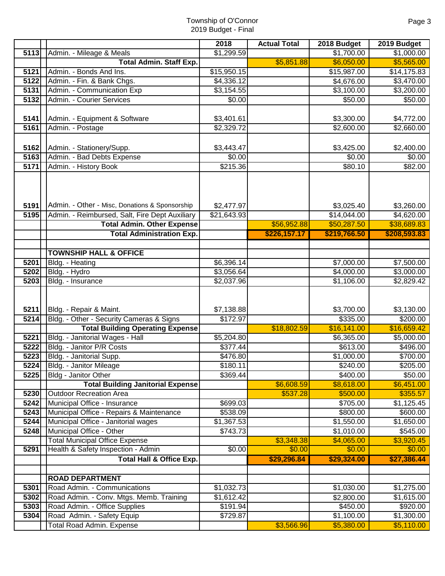|              |                                                                                                                                       | 2018                                  | <b>Actual Total</b> | 2018 Budget                              | 2019 Budget                                    |
|--------------|---------------------------------------------------------------------------------------------------------------------------------------|---------------------------------------|---------------------|------------------------------------------|------------------------------------------------|
| 5113         | Admin. - Mileage & Meals                                                                                                              | \$1,299.59                            |                     | \$1,700.00                               | \$1,000.00                                     |
|              | <b>Total Admin. Staff Exp.</b>                                                                                                        |                                       | \$5,851.88          | \$6,050.00                               | \$5,565.00                                     |
| 5121         | Admin. - Bonds And Ins.                                                                                                               | \$15,950.15                           |                     | \$15,987.00                              | \$14,175.83                                    |
| 5122         | Admin. - Fin. & Bank Chgs.                                                                                                            | \$4,336.12                            |                     | \$4,676.00                               | \$3,470.00                                     |
| 5131         | Admin. - Communication Exp                                                                                                            | \$3,154.55                            |                     | \$3,100.00                               | \$3,200.00                                     |
| 5132         | Admin. - Courier Services                                                                                                             | \$0.00                                |                     | \$50.00                                  | \$50.00                                        |
|              |                                                                                                                                       |                                       |                     |                                          |                                                |
| 5141         | Admin. - Equipment & Software                                                                                                         | \$3,401.61                            |                     | \$3,300.00                               | \$4,772.00                                     |
| 5161         | Admin. - Postage                                                                                                                      | \$2,329.72                            |                     | \$2,600.00                               | $\sqrt{2,660.00}$                              |
|              |                                                                                                                                       |                                       |                     |                                          |                                                |
| 5162         | Admin. - Stationery/Supp.                                                                                                             | \$3,443.47                            |                     | \$3,425.00                               | \$2,400.00                                     |
| 5163         | Admin. - Bad Debts Expense                                                                                                            | \$0.00                                |                     | \$0.00                                   | \$0.00                                         |
| 5171         | Admin. - History Book                                                                                                                 | \$215.36                              |                     | \$80.10                                  | \$82.00                                        |
| 5191<br>5195 | Admin. - Other - Misc, Donations & Sponsorship<br>Admin. - Reimbursed, Salt, Fire Dept Auxiliary<br><b>Total Admin. Other Expense</b> | \$2,477.97<br>$\overline{$21,643.93}$ | \$56,952.88         | \$3,025.40<br>\$14,044.00<br>\$50,287.50 | \$3,260.00<br>$\sqrt{4,620.00}$<br>\$38,689.83 |
|              | <b>Total Administration Exp.</b>                                                                                                      |                                       | \$226,157.17        | \$219,766.50                             | \$208,593.83                                   |
|              |                                                                                                                                       |                                       |                     |                                          |                                                |
|              | <b>TOWNSHIP HALL &amp; OFFICE</b>                                                                                                     |                                       |                     |                                          |                                                |
| 5201         | Bldg. - Heating                                                                                                                       | \$6,396.14                            |                     | \$7,000.00                               | \$7,500.00                                     |
| 5202         | Bldg. - Hydro                                                                                                                         | \$3,056.64                            |                     | \$4,000.00                               | \$3,000.00                                     |
| 5203         | Bldg. - Insurance                                                                                                                     | \$2,037.96                            |                     | \$1,106.00                               | \$2,829.42                                     |
| 5211         | Bldg. - Repair & Maint.                                                                                                               | \$7,138.88                            |                     | \$3,700.00                               | \$3,130.00                                     |
| 5214         | Bldg. - Other - Security Cameras & Signs                                                                                              | \$172.97                              |                     | \$335.00                                 | \$200.00                                       |
|              | <b>Total Building Operating Expense</b>                                                                                               |                                       | \$18,802.59         | \$16,141.00                              | \$16,659.42                                    |
| 5221         | Bldg. - Janitorial Wages - Hall                                                                                                       | \$5,204.80                            |                     | \$6,365.00                               | \$5,000.00                                     |
| 5222         | Bldg. - Janitor P/R Costs                                                                                                             | \$377.44                              |                     | \$613.00                                 | \$496.00                                       |
| 5223         | Bldg. - Janitorial Supp.                                                                                                              | \$476.80                              |                     | \$1,000.00                               | \$700.00                                       |
| 5224         | Bldg. - Janitor Mileage                                                                                                               | \$180.11                              |                     | \$240.00                                 | \$205.00                                       |
| 5225         | Bldg - Janitor Other                                                                                                                  | \$369.44                              |                     | \$400.00                                 | \$50.00                                        |
|              | <b>Total Building Janitorial Expense</b>                                                                                              |                                       | \$6,608.59          | \$8,618.00                               | \$6,451.00                                     |
| 5230<br>5242 | <b>Outdoor Recreation Area</b><br>Municipal Office - Insurance                                                                        |                                       | \$537.28            | \$500.00                                 | \$355.57                                       |
| 5243         | Municipal Office - Repairs & Maintenance                                                                                              | \$699.03<br>$\overline{$}538.09$      |                     | \$705.00<br>\$800.00                     | \$1,125.45<br>\$600.00                         |
| 5244         | Municipal Office - Janitorial wages                                                                                                   | \$1,367.53                            |                     | \$1,550.00                               | \$1,650.00                                     |
| 5248         | Municipal Office - Other                                                                                                              | \$743.73                              |                     | \$1,010.00                               | \$545.00                                       |
|              | <b>Total Municipal Office Expense</b>                                                                                                 |                                       | \$3,348.38          | \$4,065.00                               | \$3,920.45                                     |
| 5291         | Health & Safety Inspection - Admin                                                                                                    | \$0.00                                | \$0.00              | \$0.00                                   | \$0.00                                         |
|              | <b>Total Hall &amp; Office Exp.</b>                                                                                                   |                                       | \$29,296.84         | \$29,324.00                              | \$27,386.44                                    |
|              |                                                                                                                                       |                                       |                     |                                          |                                                |
|              | <b>ROAD DEPARTMENT</b>                                                                                                                |                                       |                     |                                          |                                                |
| 5301         | Road Admin. - Communications                                                                                                          | \$1,032.73                            |                     | \$1,030.00                               | \$1,275.00                                     |
| 5302         | Road Admin. - Conv. Mtgs. Memb. Training                                                                                              | \$1,612.42                            |                     | \$2,800.00                               | \$1,615.00                                     |
| 5303         | Road Admin. - Office Supplies                                                                                                         | \$191.94                              |                     | \$450.00                                 | \$920.00                                       |
| 5304         | Road Admin. - Safety Equip                                                                                                            | \$729.87                              |                     | \$1,100.00                               | \$1,300.00                                     |
|              | <b>Total Road Admin. Expense</b>                                                                                                      |                                       | \$3,566.96          | \$5,380.00                               | \$5,110.00                                     |
|              |                                                                                                                                       |                                       |                     |                                          |                                                |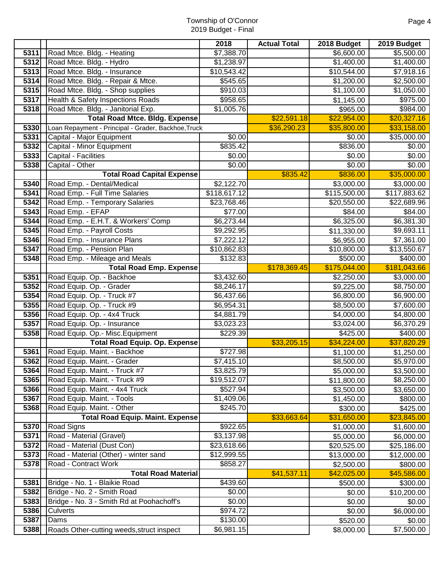|                   |                                                            | 2018                   | <b>Actual Total</b> | 2018 Budget            | 2019 Budget            |
|-------------------|------------------------------------------------------------|------------------------|---------------------|------------------------|------------------------|
| 5311              | Road Mtce. Bldg. - Heating                                 | \$7,388.70             |                     | \$6,600.00             | \$5,500.00             |
| 5312              | Road Mtce. Bldg. - Hydro                                   | \$1,238.97             |                     | \$1,400.00             | \$1,400.00             |
| 5313              | Road Mtce. Bldg. - Insurance                               | \$10,543.42            |                     | \$10,544.00            | \$7,918.16             |
| 5314              | Road Mtce. Bldg. - Repair & Mtce.                          | \$545.65               |                     | \$1,200.00             | \$2,500.00             |
| 5315              | Road Mtce. Bldg. - Shop supplies                           | \$910.03               |                     | \$1,100.00             | \$1,050.00             |
| 5317              | Health & Safety Inspections Roads                          | \$958.65               |                     | \$1,145.00             | \$975.00               |
| 5318              | Road Mtce. Bldg. - Janitorial Exp.                         | \$1,005.76             |                     | \$965.00               | \$984.00               |
|                   | <b>Total Road Mtce. Bldg. Expense</b>                      |                        | \$22,591.18         | \$22,954.00            | \$20,327.16            |
| 5330              | Loan Repayment - Principal - Grader, Backhoe, Truck        |                        | \$36,290.23         | \$35,800.00            | \$33,158.00            |
| 5331              | Capital - Major Equipment                                  | $\sqrt{$0.00}$         |                     | \$0.00                 | \$35,000.00            |
| 5332              | Capital - Minor Equipment                                  | \$835.42               |                     | \$836.00               | \$0.00                 |
| 5333              | Capital - Facilities                                       | \$0.00                 |                     | \$0.00                 | \$0.00                 |
| 5338              | Capital - Other                                            | \$0.00                 |                     | \$0.00                 | \$0.00                 |
|                   | <b>Total Road Capital Expense</b>                          |                        | \$835.42            | \$836.00               | \$35,000.00            |
| 5340              | Road Emp. - Dental/Medical                                 | \$2,122.70             |                     | \$3,000.00             | \$3,000.00             |
| 5341              | Road Emp. - Full Time Salaries                             | \$118,617.12           |                     | \$115,500.00           | \$117,883.62           |
| 5342              | Road Emp. - Temporary Salaries                             | \$23,768.46            |                     | \$20,550.00            | \$22,689.96            |
| $\overline{5343}$ | Road Emp. - EFAP                                           | \$77.00                |                     | \$84.00                | \$84.00                |
| 5344              | Road Emp. - E.H.T. & Workers' Comp                         | \$6,273.44             |                     | \$6,325.00             | \$6,381.30             |
| 5345              | Road Emp. - Payroll Costs                                  | \$9,292.95             |                     | \$11,330.00            | \$9,693.11             |
| 5346              | Road Emp. - Insurance Plans                                | \$7,222.12             |                     | \$6,955.00             | \$7,361.00             |
| 5347              | Road Emp. - Pension Plan                                   | \$10,862.83            |                     | \$10,800.00            | \$13,550.67            |
| 5348              | Road Emp. - Mileage and Meals                              | \$132.83               |                     | \$500.00               | \$400.00               |
|                   | <b>Total Road Emp. Expense</b>                             |                        | \$178,369.45        | \$175,044.00           | \$181,043.66           |
| 5351              | Road Equip. Op. - Backhoe                                  | \$3,432.60             |                     | \$2,250.00             | \$3,000.00             |
| 5352              | Road Equip. Op. - Grader                                   | \$8,246.17             |                     | \$9,225.00             | \$8,750.00             |
| 5354              | Road Equip. Op. - Truck #7                                 | \$6,437.66             |                     | \$6,800.00             | \$6,900.00             |
| 5355              | Road Equip. Op. - Truck #9                                 | \$6,954.31             |                     | \$8,500.00             | \$7,600.00             |
| 5356<br>5357      | Road Equip. Op. - 4x4 Truck<br>Road Equip. Op. - Insurance | \$4,881.79             |                     | \$4,000.00             | \$4,800.00             |
| 5358              | Road Equip. Op.- Misc. Equipment                           | \$3,023.23<br>\$229.39 |                     | \$3,024.00<br>\$425.00 | \$6,370.29<br>\$400.00 |
|                   | <b>Total Road Equip. Op. Expense</b>                       |                        | \$33,205.15         | \$34,224.00            | \$37,820.29            |
| 5361              | Road Equip. Maint. - Backhoe                               | \$727.98               |                     | \$1,100.00             | \$1,250.00             |
|                   | 5362 Road Equip. Maint. - Grader                           | \$7,415.10             |                     | \$8,500.00             | \$5,970.00             |
| 5364              | Road Equip. Maint. - Truck #7                              | \$3,825.79             |                     | \$5,000.00             | \$3,500.00             |
| 5365              | Road Equip. Maint. - Truck #9                              | \$19,512.07            |                     | \$11,800.00            | \$8,250.00             |
| 5366              | Road Equip. Maint. - 4x4 Truck                             | \$527.94               |                     | \$3,500.00             | \$3,650.00             |
| 5367              | Road Equip. Maint. - Tools                                 | \$1,409.06             |                     | \$1,450.00             | \$800.00               |
| 5368              | Road Equip. Maint. - Other                                 | \$245.70               |                     | \$300.00               | \$425.00               |
|                   | <b>Total Road Equip. Maint. Expense</b>                    |                        | \$33,663.64         | \$31,650.00            | \$23,845.00            |
| 5370              | <b>Road Signs</b>                                          | \$922.65               |                     | \$1,000.00             | \$1,600.00             |
| 5371              | Road - Material (Gravel)                                   | \$3,137.98             |                     | \$5,000.00             | \$6,000.00             |
| 5372              | Road - Material (Dust Con)                                 | \$23,618.66            |                     | \$20,525.00            | \$25,186.00            |
| 5373              | Road - Material (Other) - winter sand                      | \$12,999.55            |                     | \$13,000.00            | \$12,000.00            |
| 5378              | Road - Contract Work                                       | \$858.27               |                     | \$2,500.00             | \$800.00               |
|                   | <b>Total Road Material</b>                                 |                        | \$41,537.11         | \$42,025.00            | \$45,586.00            |
| 5381              | Bridge - No. 1 - Blaikie Road                              | \$439.60               |                     | \$500.00               | \$300.00               |
| 5382              | Bridge - No. 2 - Smith Road                                | \$0.00                 |                     | \$0.00                 | \$10,200.00            |
| 5383              | Bridge - No. 3 - Smith Rd at Poohachoff's                  | \$0.00                 |                     | \$0.00                 | \$0.00                 |
| 5386              | <b>Culverts</b>                                            | \$974.72               |                     | \$0.00                 | \$6,000.00             |
| 5387              | Dams                                                       | \$130.00               |                     | \$520.00               | \$0.00                 |
| 5388              | Roads Other-cutting weeds, struct inspect                  | \$6,981.15             |                     | \$8,000.00             | \$7,500.00             |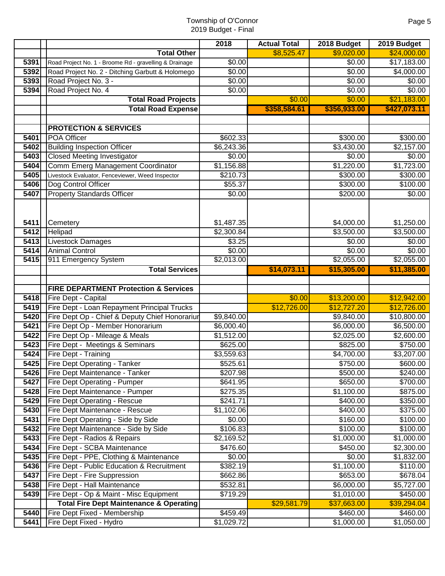|      |                                                        | 2018                 | <b>Actual Total</b> | 2018 Budget        | 2019 Budget            |
|------|--------------------------------------------------------|----------------------|---------------------|--------------------|------------------------|
|      | <b>Total Other</b>                                     |                      | \$8,525.47          | \$9,020.00         | \$24,000.00            |
| 5391 | Road Project No. 1 - Broome Rd - gravelling & Drainage | \$0.00               |                     | $\overline{$}0.00$ | \$17,183.00            |
| 5392 | Road Project No. 2 - Ditching Garbutt & Holomego       | \$0.00               |                     | \$0.00             | \$4,000.00             |
| 5393 | Road Project No. 3 -                                   | \$0.00               |                     | \$0.00             | \$0.00                 |
| 5394 | Road Project No. 4                                     | \$0.00               |                     | \$0.00             | \$0.00                 |
|      | <b>Total Road Projects</b>                             |                      | \$0.00              | \$0.00             | \$21,183.00            |
|      | <b>Total Road Expense</b>                              |                      | \$358,584.61        | \$356,933.00       | \$427,073.11           |
|      |                                                        |                      |                     |                    |                        |
|      | <b>PROTECTION &amp; SERVICES</b>                       |                      |                     |                    |                        |
| 5401 | <b>POA Officer</b>                                     | \$602.33             |                     | \$300.00           | \$300.00               |
| 5402 | <b>Building Inspection Officer</b>                     | \$6,243.36           |                     | \$3,430.00         | $\overline{$2,157.00}$ |
| 5403 | <b>Closed Meeting Investigator</b>                     | \$0.00               |                     | $\overline{$}0.00$ | \$0.00                 |
| 5404 | Comm Emerg Management Coordinator                      | \$1,156.88           |                     | \$1,220.00         | \$1,723.00             |
| 5405 | Livestock Evaluator, Fenceviewer, Weed Inspector       | \$210.73             |                     | \$300.00           | \$300.00               |
| 5406 | Dog Control Officer                                    | \$55.37              |                     | \$300.00           | \$100.00               |
| 5407 | <b>Property Standards Officer</b>                      | \$0.00               |                     | \$200.00           | \$0.00                 |
|      |                                                        |                      |                     |                    |                        |
|      |                                                        |                      |                     |                    |                        |
| 5411 | Cemetery                                               | \$1,487.35           |                     | \$4,000.00         | \$1,250.00             |
| 5412 | Helipad                                                | \$2,300.84           |                     | \$3,500.00         | \$3,500.00             |
| 5413 | Livestock Damages                                      | \$3.25               |                     | \$0.00             | \$0.00                 |
| 5414 | <b>Animal Control</b>                                  | \$0.00               |                     | \$0.00             | \$0.00                 |
| 5415 | 911 Emergency System                                   | \$2,013.00           |                     | \$2,055.00         | \$2,055.00             |
|      | <b>Total Services</b>                                  |                      | \$14,073.11         | \$15,305.00        | \$11,385.00            |
|      | <b>FIRE DEPARTMENT Protection &amp; Services</b>       |                      |                     |                    |                        |
| 5418 | Fire Dept - Capital                                    |                      | \$0.00              | \$13,200.00        | \$12,942.00            |
| 5419 | Fire Dept - Loan Repayment Principal Trucks            |                      | \$12,726.00         | \$12,727.20        | \$12,726.00            |
| 5420 | Fire Dept Op - Chief & Deputy Chief Honorariur         | \$9,840.00           |                     | \$9,840.00         | \$10,800.00            |
| 5421 | Fire Dept Op - Member Honorarium                       | \$6,000.40           |                     | \$6,000.00         | \$6,500.00             |
| 5422 | Fire Dept Op - Mileage & Meals                         | \$1,512.00           |                     | \$2,025.00         | \$2,600.00             |
| 5423 | Fire Dept - Meetings & Seminars                        | \$625.00             |                     | \$825.00           | \$750.00               |
| 5424 | Fire Dept - Training                                   | \$3,559.63           |                     | \$4,700.00         | \$3,207.00             |
|      | 5425 Fire Dept Operating - Tanker                      | \$525.61             |                     | \$750.00           | \$600.00               |
| 5426 | Fire Dept Maintenance - Tanker                         | \$207.98             |                     | \$500.00           | \$240.00               |
| 5427 | Fire Dept Operating - Pumper                           | \$641.95             |                     | \$650.00           | \$700.00               |
| 5428 | Fire Dept Maintenance - Pumper                         | \$275.35             |                     | \$1,100.00         | \$875.00               |
| 5429 | Fire Dept Operating - Rescue                           | \$241.71             |                     | \$400.00           | \$350.00               |
| 5430 | Fire Dept Maintenance - Rescue                         | \$1,102.06           |                     | \$400.00           | $\frac{1}{1}375.00$    |
| 5431 | Fire Dept Operating - Side by Side                     | \$0.00               |                     | \$160.00           | \$100.00               |
| 5432 | Fire Dept Maintenance - Side by Side                   | \$106.83             |                     | \$100.00           | \$100.00               |
| 5433 | Fire Dept - Radios & Repairs                           | \$2,169.52           |                     | \$1,000.00         | \$1,000.00             |
| 5434 | Fire Dept - SCBA Maintenance                           | \$476.60             |                     | \$450.00           | \$2,300.00             |
| 5435 | Fire Dept - PPE, Clothing & Maintenance                | \$0.00               |                     | \$0.00             | \$1,832.00             |
| 5436 | Fire Dept - Public Education & Recruitment             | \$382.19             |                     | \$1,100.00         | \$110.00               |
| 5437 | Fire Dept - Fire Suppression                           | \$662.86             |                     | \$653.00           | \$678.04               |
| 5438 | Fire Dept - Hall Maintenance                           | \$532.81             |                     | \$6,000.00         | \$5,727.00             |
| 5439 | Fire Dept - Op & Maint - Misc Equipment                | $\overline{$}719.29$ |                     | \$1,010.00         | \$450.00               |
|      | <b>Total Fire Dept Maintenance &amp; Operating</b>     |                      | \$29,581.79         | \$37,663.00        | \$39,294.04            |
| 5440 | Fire Dept Fixed - Membership                           | \$459.49             |                     | \$460.00           | \$460.00               |
| 5441 | Fire Dept Fixed - Hydro                                | \$1,029.72           |                     | \$1,000.00         | \$1,050.00             |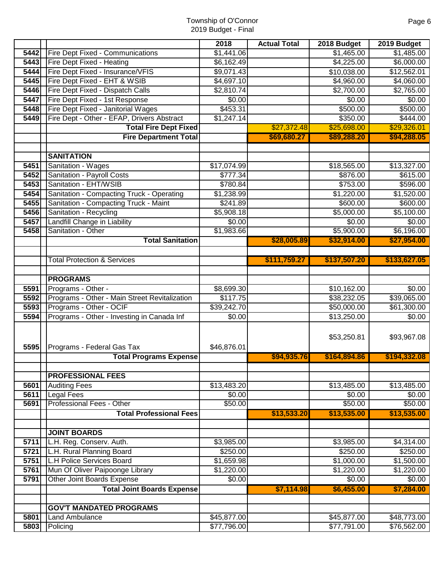|              |                                                                       | 2018              | <b>Actual Total</b> | 2018 Budget       | 2019 Budget           |
|--------------|-----------------------------------------------------------------------|-------------------|---------------------|-------------------|-----------------------|
| 5442         | Fire Dept Fixed - Communications                                      | \$1,441.06        |                     | \$1,465.00        | \$1,485.00            |
| 5443         | Fire Dept Fixed - Heating                                             | \$6,162.49        |                     | \$4,225.00        | \$6,000.00            |
| 5444         | Fire Dept Fixed - Insurance/VFIS                                      | \$9,071.43        |                     | \$10,038.00       | \$12,562.01           |
| 5445         | Fire Dept Fixed - EHT & WSIB                                          | \$4,697.10        |                     | \$4,960.00        | \$4,060.00            |
| 5446         | Fire Dept Fixed - Dispatch Calls                                      | \$2,810.74        |                     | \$2,700.00        | \$2,765.00            |
| 5447         | Fire Dept Fixed - 1st Response                                        | \$0.00            |                     | \$0.00            | \$0.00                |
| 5448         | Fire Dept Fixed - Janitorial Wages                                    | \$453.31          |                     | \$500.00          | \$500.00              |
| 5449         | Fire Dept - Other - EFAP, Drivers Abstract                            | \$1,247.14        |                     | \$350.00          | \$444.00              |
|              | <b>Total Fire Dept Fixed</b>                                          |                   | \$27,372.48         | \$25,698.00       | \$29,326.01           |
|              | <b>Fire Department Total</b>                                          |                   | \$69,680.27         | \$89,288.20       | \$94,288.05           |
|              |                                                                       |                   |                     |                   |                       |
|              | <b>SANITATION</b>                                                     |                   |                     |                   |                       |
| 5451         | Sanitation - Wages                                                    | \$17,074.99       |                     | \$18,565.00       | \$13,327.00           |
| 5452         | Sanitation - Payroll Costs                                            | \$777.34          |                     | \$876.00          | \$615.00              |
| 5453         | Sanitation - EHT/WSIB                                                 | \$780.84          |                     | \$753.00          | \$596.00              |
| 5454         | Sanitation - Compacting Truck - Operating                             | \$1,238.99        |                     | \$1,220.00        | \$1,520.00            |
| 5455         | Sanitation - Compacting Truck - Maint                                 | \$241.89          |                     | \$600.00          | \$600.00              |
| 5456         | Sanitation - Recycling                                                | \$5,908.18        |                     | \$5,000.00        | \$5,100.00            |
| 5457         | Landfill Change in Liability                                          | \$0.00            |                     | \$0.00            | \$0.00                |
| 5458         | Sanitation - Other                                                    | \$1,983.66        |                     | \$5,900.00        | \$6,196.00            |
|              | <b>Total Sanitation</b>                                               |                   | \$28,005.89         | \$32,914.00       | \$27,954.00           |
|              |                                                                       |                   |                     |                   |                       |
|              | <b>Total Protection &amp; Services</b>                                |                   | \$111,759.27        | \$137,507.20      | \$133,627.05          |
|              |                                                                       |                   |                     |                   |                       |
|              | <b>PROGRAMS</b>                                                       |                   |                     |                   |                       |
| 5591         | Programs - Other -                                                    | \$8,699.30        |                     | \$10,162.00       | \$0.00                |
| 5592         | Programs - Other - Main Street Revitalization                         | \$117.75          |                     | \$38,232.05       | \$39,065.00           |
| 5593<br>5594 | Programs - Other - OCIF<br>Programs - Other - Investing in Canada Inf | \$39,242.70       |                     | \$50,000.00       | \$61,300.00<br>\$0.00 |
|              |                                                                       | \$0.00            |                     | \$13,250.00       |                       |
|              |                                                                       |                   |                     | \$53,250.81       | \$93,967.08           |
| 5595         | Programs - Federal Gas Tax                                            | \$46,876.01       |                     |                   |                       |
|              | <b>Total Programs Expense</b>                                         |                   | \$94,935.76         | \$164,894.86      | \$194,332.08          |
|              |                                                                       |                   |                     |                   |                       |
|              | <b>PROFESSIONAL FEES</b>                                              |                   |                     |                   |                       |
| 5601         | <b>Auditing Fees</b>                                                  | \$13,483.20       |                     | \$13,485.00       | \$13,485.00           |
| 5611<br>5691 | <b>Legal Fees</b><br>Professional Fees - Other                        | \$0.00<br>\$50.00 |                     | \$0.00<br>\$50.00 | \$0.00<br>\$50.00     |
|              | <b>Total Professional Fees</b>                                        |                   | \$13,533.20         | \$13,535.00       | \$13,535.00           |
|              |                                                                       |                   |                     |                   |                       |
|              | <b>JOINT BOARDS</b>                                                   |                   |                     |                   |                       |
| 5711         | L.H. Reg. Conserv. Auth.                                              | \$3,985.00        |                     | \$3,985.00        | \$4,314.00            |
| 5721         | L.H. Rural Planning Board                                             | \$250.00          |                     | \$250.00          | \$250.00              |
| 5751         | <b>L.H Police Services Board</b>                                      | \$1,659.98        |                     | \$1,000.00        | \$1,500.00            |
| 5761         | Mun Of Oliver Paipoonge Library                                       | \$1,220.00        |                     | \$1,220.00        | \$1,220.00            |
| 5791         | Other Joint Boards Expense                                            | \$0.00            |                     | \$0.00            | \$0.00                |
|              | <b>Total Joint Boards Expense</b>                                     |                   | \$7,114.98          | \$6,455.00        | \$7,284.00            |
|              |                                                                       |                   |                     |                   |                       |
|              | <b>GOV'T MANDATED PROGRAMS</b>                                        |                   |                     |                   |                       |
| 5801         | Land Ambulance                                                        | \$45,877.00       |                     | \$45,877.00       | \$48,773.00           |
| 5803         | Policing                                                              | \$77,796.00       |                     | \$77,791.00       | \$76,562.00           |
|              |                                                                       |                   |                     |                   |                       |